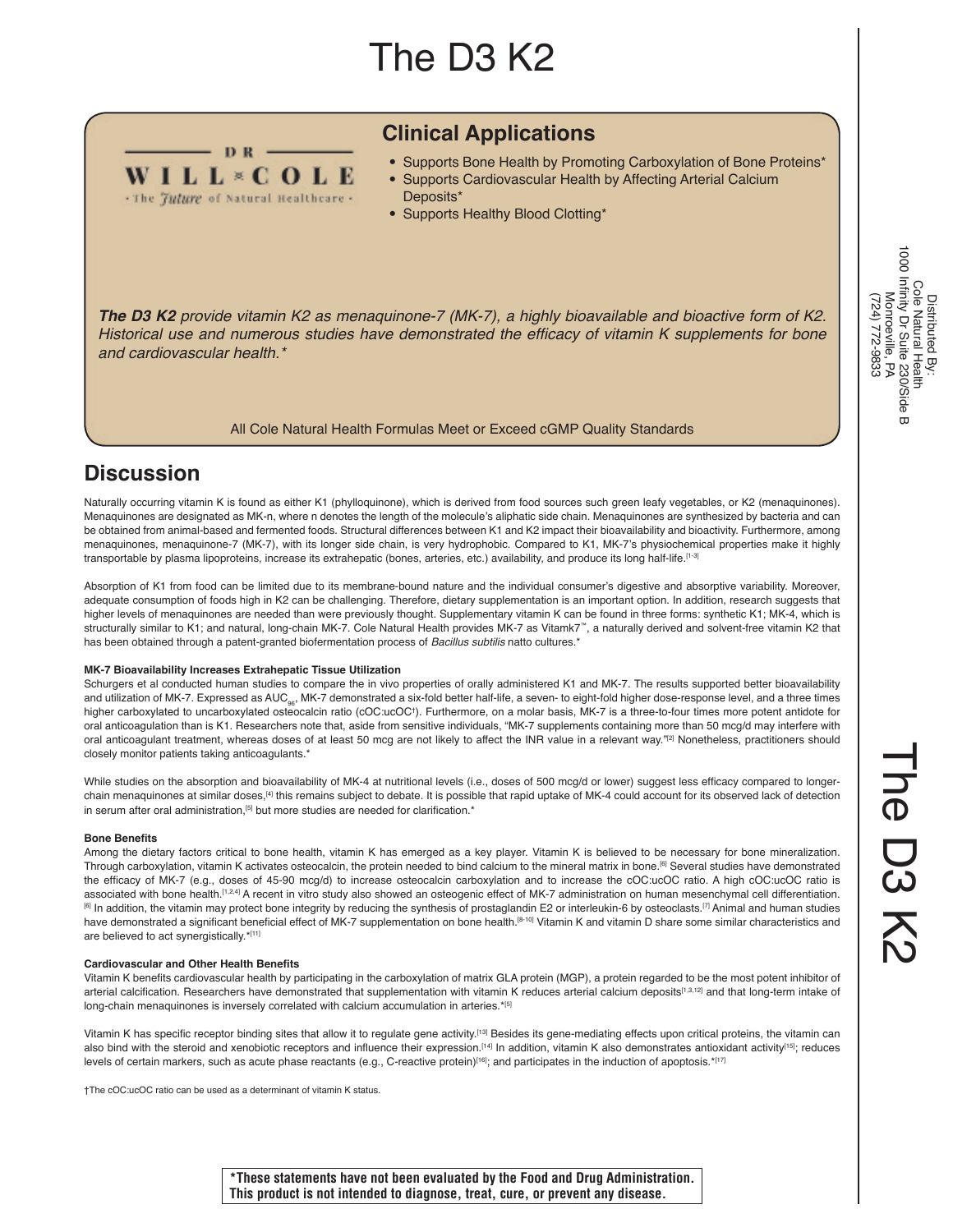# The D3 K2



# **Clinical Applications**

- Supports Bone Health by Promoting Carboxylation of Bone Proteins\* • Supports Cardiovascular Health by Affecting Arterial Calcium
	- Deposits\*
- Supports Healthy Blood Clotting\*

*The D3 K2 provide vitamin K2 as menaquinone-7 (MK-7), a highly bioavailable and bioactive form of K2.*  Historical use and numerous studies have demonstrated the efficacy of vitamin K supplements for bone *and cardiovascular health.\**

All Cole Natural Health Formulas Meet or Exceed cGMP Quality Standards

# **Discussion**

Naturally occurring vitamin K is found as either K1 (phylloquinone), which is derived from food sources such green leafy vegetables, or K2 (menaquinones). Menaquinones are designated as MK-n, where n denotes the length of the molecule's aliphatic side chain. Menaquinones are synthesized by bacteria and can be obtained from animal-based and fermented foods. Structural differences between K1 and K2 impact their bioavailability and bioactivity. Furthermore, among menaquinones, menaquinone-7 (MK-7), with its longer side chain, is very hydrophobic. Compared to K1, MK-7's physiochemical properties make it highly transportable by plasma lipoproteins, increase its extrahepatic (bones, arteries, etc.) availability, and produce its long half-life.[1-3]

Absorption of K1 from food can be limited due to its membrane-bound nature and the individual consumer's digestive and absorptive variability. Moreover, adequate consumption of foods high in K2 can be challenging. Therefore, dietary supplementation is an important option. In addition, research suggests that higher levels of menaquinones are needed than were previously thought. Supplementary vitamin K can be found in three forms: synthetic K1; MK-4, which is structurally similar to K1; and natural, long-chain MK-7. Cole Natural Health provides MK-7 as Vitamk7<sup>™</sup>, a naturally derived and solvent-free vitamin K2 that has been obtained through a patent-granted biofermentation process of *Bacillus subtilis* natto cultures.\*

#### **MK-7 Bioavailability Increases Extrahepatic Tissue Utilization**

Schurgers et al conducted human studies to compare the in vivo properties of orally administered K1 and MK-7. The results supported better bioavailability and utilization of MK-7. Expressed as AUC<sub>96</sub>, MK-7 demonstrated a six-fold better half-life, a seven- to eight-fold higher dose-response level, and a three times higher carboxylated to uncarboxylated osteocalcin ratio (cOC:ucOC†). Furthermore, on a molar basis, MK-7 is a three-to-four times more potent antidote for oral anticoagulation than is K1. Researchers note that, aside from sensitive individuals, "MK-7 supplements containing more than 50 mcg/d may interfere with oral anticoagulant treatment, whereas doses of at least 50 mcg are not likely to affect the INR value in a relevant way."<sup>[2]</sup> Nonetheless, practitioners should closely monitor patients taking anticoagulants.\*

While studies on the absorption and bioavailability of MK-4 at nutritional levels (i.e., doses of 500 mcg/d or lower) suggest less efficacy compared to longerchain menaquinones at similar doses,[4] this remains subject to debate. It is possible that rapid uptake of MK-4 could account for its observed lack of detection in serum after oral administration,<sup>[5]</sup> but more studies are needed for clarification.\*

#### **Bone Benefits**

Among the dietary factors critical to bone health, vitamin K has emerged as a key player. Vitamin K is believed to be necessary for bone mineralization. Through carboxylation, vitamin K activates osteocalcin, the protein needed to bind calcium to the mineral matrix in bone.[6] Several studies have demonstrated the efficacy of MK-7 (e.g., doses of 45-90 mcg/d) to increase osteocalcin carboxylation and to increase the cOC:ucOC ratio. A high cOC:ucOC ratio is associated with bone health.<sup>[1,2,4]</sup> A recent in vitro study also showed an osteogenic effect of MK-7 administration on human mesenchymal cell differentiation. [6] In addition, the vitamin may protect bone integrity by reducing the synthesis of prostaglandin E2 or interleukin-6 by osteoclasts.[7] Animal and human studies have demonstrated a significant beneficial effect of MK-7 supplementation on bone health.<sup>[8-10]</sup> Vitamin K and vitamin D share some similar characteristics and are believed to act synergistically.\*[11]

#### **Cardiovascular and Other Health Benefits**

Vitamin K benefits cardiovascular health by participating in the carboxylation of matrix GLA protein (MGP), a protein regarded to be the most potent inhibitor of arterial calcification. Researchers have demonstrated that supplementation with vitamin K reduces arterial calcium deposits<sup>[1,3,12]</sup> and that long-term intake of long-chain menaquinones is inversely correlated with calcium accumulation in arteries.\*[5]

Vitamin K has specific receptor binding sites that allow it to regulate gene activity.<sup>[13]</sup> Besides its gene-mediating effects upon critical proteins, the vitamin can also bind with the steroid and xenobiotic receptors and influence their expression.<sup>[14]</sup> In addition, vitamin K also demonstrates antioxidant activity<sup>[15]</sup>; reduces levels of certain markers, such as acute phase reactants (e.g., C-reactive protein)<sup>[16]</sup>; and participates in the induction of apoptosis.\*[17]

†The cOC:ucOC ratio can be used as a determinant of vitamin K status.

**\*These statements have not been evaluated by the Food and Drug Administration. This product is not intended to diagnose, treat, cure, or prevent any disease.**